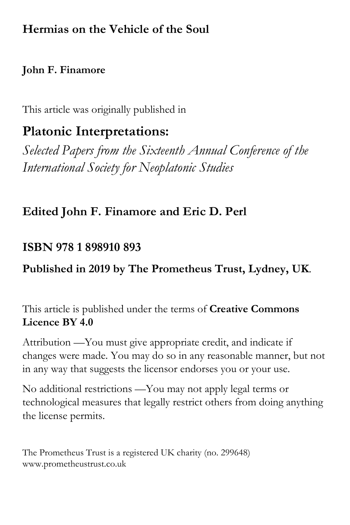## **Hermias on the Vehicle of the Soul**

## **John F. Finamore**

This article was originally published in

# **Platonic Interpretations:**

*Selected Papers from the Sixteenth Annual Conference of the International Society for Neoplatonic Studies*

## **Edited John F. Finamore and Eric D. Perl**

## **ISBN 978 1 898910 893**

## **Published in 2019 by The Prometheus Trust, Lydney, UK**.

This article is published under the terms of **Creative Commons Licence BY 4.0**

Attribution —You must give appropriate credit, and indicate if changes were made. You may do so in any reasonable manner, but not in any way that suggests the licensor endorses you or your use.

No additional restrictions —You may not apply legal terms or technological measures that legally restrict others from doing anything the license permits.

The Prometheus Trust is a registered UK charity (no. 299648) www.prometheustrust.co.uk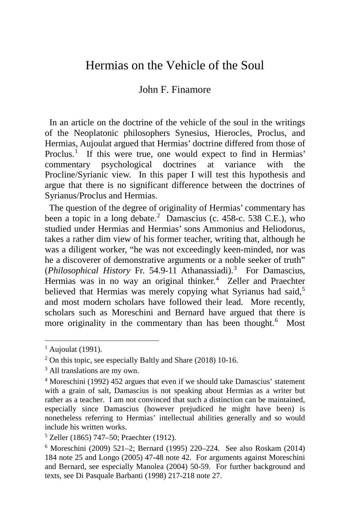### Hermias on the Vehicle of the Soul

#### John F. Finamore

 In an article on the doctrine of the vehicle of the soul in the writings of the Neoplatonic philosophers Synesius, Hierocles, Proclus, and Hermias, Aujoulat argued that Hermias' doctrine differed from those of Proclus.<sup>[1](#page-1-0)</sup> If this were true, one would expect to find in Hermias' commentary psychological doctrines at variance with the Procline/Syrianic view. In this paper I will test this hypothesis and argue that there is no significant difference between the doctrines of Syrianus/Proclus and Hermias.

 The question of the degree of originality of Hermias' commentary has been a topic in a long debate.<sup>[2](#page-1-1)</sup> Damascius (c. 458-c. 538 C.E.), who studied under Hermias and Hermias' sons Ammonius and Heliodorus, takes a rather dim view of his former teacher, writing that, although he was a diligent worker, "he was not exceedingly keen-minded, nor was he a discoverer of demonstrative arguments or a noble seeker of truth" (*Philosophical History* Fr. 54.9-11 Athanassiadi).<sup>[3](#page-1-2)</sup> For Damascius, Hermias was in no way an original thinker.<sup>[4](#page-1-3)</sup> Zeller and Praechter believed that Hermias was merely copying what Syrianus had said,<sup>[5](#page-1-4)</sup> and most modern scholars have followed their lead. More recently, scholars such as Moreschini and Bernard have argued that there is more originality in the commentary than has been thought.<sup>[6](#page-1-5)</sup> Most

<span id="page-1-0"></span> $<sup>1</sup>$  Aujoulat (1991).</sup>

<span id="page-1-1"></span> $2$  On this topic, see especially Baltly and Share (2018) 10-16.

<span id="page-1-2"></span><sup>&</sup>lt;sup>3</sup> All translations are my own.

<span id="page-1-3"></span><sup>4</sup> Moreschini (1992) 452 argues that even if we should take Damascius' statement with a grain of salt, Damascius is not speaking about Hermias as a writer but rather as a teacher. I am not convinced that such a distinction can be maintained, especially since Damascius (however prejudiced he might have been) is nonetheless referring to Hermias' intellectual abilities generally and so would include his written works.

<span id="page-1-4"></span><sup>5</sup> Zeller (1865) 747–50; Praechter (1912).

<span id="page-1-5"></span><sup>6</sup> Moreschini (2009) 521–2; Bernard (1995) 220–224. See also Roskam (2014) 184 note 25 and Longo (2005) 47-48 note 42. For arguments against Moreschini and Bernard, see especially Manolea (2004) 50-59. For further background and texts, see Di Pasquale Barbanti (1998) 217-218 note 27.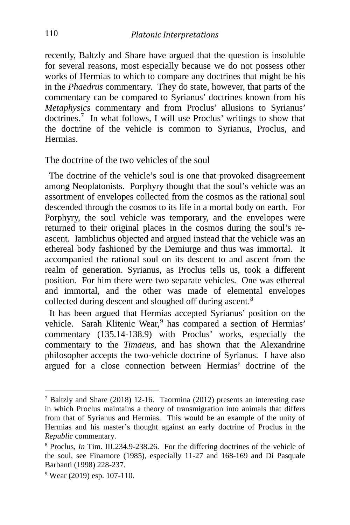recently, Baltzly and Share have argued that the question is insoluble for several reasons, most especially because we do not possess other works of Hermias to which to compare any doctrines that might be his in the *Phaedrus* commentary. They do state, however, that parts of the commentary can be compared to Syrianus' doctrines known from his *Metaphysics* commentary and from Proclus' allusions to Syrianus' doctrines.[7](#page-2-0) In what follows, I will use Proclus' writings to show that the doctrine of the vehicle is common to Syrianus, Proclus, and Hermias.

The doctrine of the two vehicles of the soul

 The doctrine of the vehicle's soul is one that provoked disagreement among Neoplatonists. Porphyry thought that the soul's vehicle was an assortment of envelopes collected from the cosmos as the rational soul descended through the cosmos to its life in a mortal body on earth. For Porphyry, the soul vehicle was temporary, and the envelopes were returned to their original places in the cosmos during the soul's reascent. Iamblichus objected and argued instead that the vehicle was an ethereal body fashioned by the Demiurge and thus was immortal. It accompanied the rational soul on its descent to and ascent from the realm of generation. Syrianus, as Proclus tells us, took a different position. For him there were two separate vehicles. One was ethereal and immortal, and the other was made of elemental envelopes collected during descent and sloughed off during ascent.<sup>[8](#page-2-1)</sup>

 It has been argued that Hermias accepted Syrianus' position on the vehicle. Sarah Klitenic Wear,<sup>[9](#page-2-2)</sup> has compared a section of Hermias' commentary (135.14-138.9) with Proclus' works, especially the commentary to the *Timaeus*, and has shown that the Alexandrine philosopher accepts the two-vehicle doctrine of Syrianus. I have also argued for a close connection between Hermias' doctrine of the

<span id="page-2-0"></span><sup>7</sup> Baltzly and Share (2018) 12-16. Taormina (2012) presents an interesting case in which Proclus maintains a theory of transmigration into animals that differs from that of Syrianus and Hermias. This would be an example of the unity of Hermias and his master's thought against an early doctrine of Proclus in the *Republic* commentary.

<span id="page-2-1"></span><sup>8</sup> Proclus, *In* Tim. III.234.9-238.26. For the differing doctrines of the vehicle of the soul, see Finamore (1985), especially 11-27 and 168-169 and Di Pasquale Barbanti (1998) 228-237.

<span id="page-2-2"></span><sup>9</sup> Wear (2019) esp. 107-110.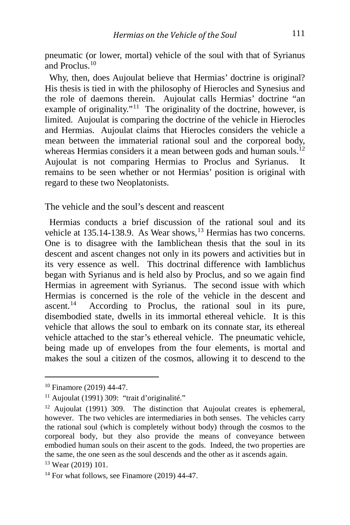pneumatic (or lower, mortal) vehicle of the soul with that of Syrianus and Proclus. $10$ 

 Why, then, does Aujoulat believe that Hermias' doctrine is original? His thesis is tied in with the philosophy of Hierocles and Synesius and the role of daemons therein. Aujoulat calls Hermias' doctrine "an example of originality."<sup>[11](#page-3-1)</sup> The originality of the doctrine, however, is limited. Aujoulat is comparing the doctrine of the vehicle in Hierocles and Hermias. Aujoulat claims that Hierocles considers the vehicle a mean between the immaterial rational soul and the corporeal body, whereas Hermias considers it a mean between gods and human souls.<sup>[12](#page-3-2)</sup> Aujoulat is not comparing Hermias to Proclus and Syrianus. It remains to be seen whether or not Hermias' position is original with regard to these two Neoplatonists.

The vehicle and the soul's descent and reascent

 Hermias conducts a brief discussion of the rational soul and its vehicle at [13](#page-3-3)5.14-138.9. As Wear shows, <sup>13</sup> Hermias has two concerns. One is to disagree with the Iamblichean thesis that the soul in its descent and ascent changes not only in its powers and activities but in its very essence as well. This doctrinal difference with Iamblichus began with Syrianus and is held also by Proclus, and so we again find Hermias in agreement with Syrianus. The second issue with which Hermias is concerned is the role of the vehicle in the descent and ascent.<sup>14</sup> According to Proclus, the rational soul in its pure, According to Proclus, the rational soul in its pure, disembodied state, dwells in its immortal ethereal vehicle. It is this vehicle that allows the soul to embark on its connate star, its ethereal vehicle attached to the star's ethereal vehicle. The pneumatic vehicle, being made up of envelopes from the four elements, is mortal and makes the soul a citizen of the cosmos, allowing it to descend to the

<span id="page-3-0"></span><sup>10</sup> Finamore (2019) 44-47.

<span id="page-3-1"></span><sup>&</sup>lt;sup>11</sup> Aujoulat (1991) 309: "trait d'originalité."

<span id="page-3-2"></span><sup>&</sup>lt;sup>12</sup> Aujoulat (1991) 309. The distinction that Aujoulat creates is ephemeral, however. The two vehicles are intermediaries in both senses. The vehicles carry the rational soul (which is completely without body) through the cosmos to the corporeal body, but they also provide the means of conveyance between embodied human souls on their ascent to the gods. Indeed, the two properties are the same, the one seen as the soul descends and the other as it ascends again.

<span id="page-3-3"></span><sup>13</sup> Wear (2019) 101.

<span id="page-3-4"></span> $14$  For what follows, see Finamore (2019) 44-47.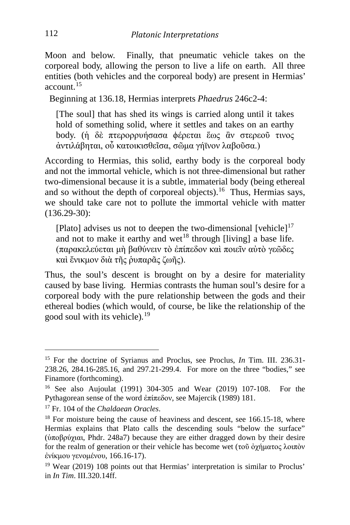Moon and below. Finally, that pneumatic vehicle takes on the corporeal body, allowing the person to live a life on earth. All three entities (both vehicles and the corporeal body) are present in Hermias' account.[15](#page-4-0)

Beginning at 136.18, Hermias interprets *Phaedrus* 246c2-4:

[The soul] that has shed its wings is carried along until it takes hold of something solid, where it settles and takes on an earthy body. (ἡ δὲ πτερορρυήσασα ϕέρεται ἕως ἂν στερεοῦ τινος ἀντιλάβηται, οὗ κατοικισθεῖσα, σῶμα γήϊνον λαβοῦσα.)

According to Hermias, this solid, earthy body is the corporeal body and not the immortal vehicle, which is not three-dimensional but rather two-dimensional because it is a subtle, immaterial body (being ethereal and so without the depth of corporeal objects).<sup>16</sup> Thus, Hermias says, we should take care not to pollute the immortal vehicle with matter (136.29-30):

[Plato] advises us not to deepen the two-dimensional [vehicle] $17$ and not to make it earthy and wet<sup>[18](#page-4-3)</sup> through  $\lceil$ living] a base life. (παρακελεύεται μὴ βαθύνειν τὸ ἐπίπεδον καὶ ποιεῖν αὐτὸ γεῶδες καὶ ἔνικμον διὰ τῆς ῥυπαρᾶς ζωῆς).

Thus, the soul's descent is brought on by a desire for materiality caused by base living. Hermias contrasts the human soul's desire for a corporeal body with the pure relationship between the gods and their ethereal bodies (which would, of course, be like the relationship of the good soul with its vehicle). $19$ 

<span id="page-4-0"></span><sup>15</sup> For the doctrine of Syrianus and Proclus, see Proclus, *In* Tim. III. 236.31- 238.26, 284.16-285.16, and 297.21-299.4. For more on the three "bodies," see Finamore (forthcoming).

<span id="page-4-1"></span><sup>16</sup> See also Aujoulat (1991) 304-305 and Wear (2019) 107-108. For the Pythagorean sense of the word ἐπίπεδον, see Majercik (1989) 181.

<span id="page-4-2"></span><sup>17</sup> Fr. 104 of the *Chaldaean Oracles*.

<span id="page-4-3"></span><sup>&</sup>lt;sup>18</sup> For moisture being the cause of heaviness and descent, see 166.15-18, where Hermias explains that Plato calls the descending souls "below the surface" (ὑποβρύχιαι, Phdr. 248a7) because they are either dragged down by their desire for the realm of generation or their vehicle has become wet (τοῦ ὀχήματος λοιπὸν ἐνίκμου γενομένου, 166.16-17).

<span id="page-4-4"></span><sup>19</sup> Wear (2019) 108 points out that Hermias' interpretation is similar to Proclus' in *In Tim*. III.320.14ff.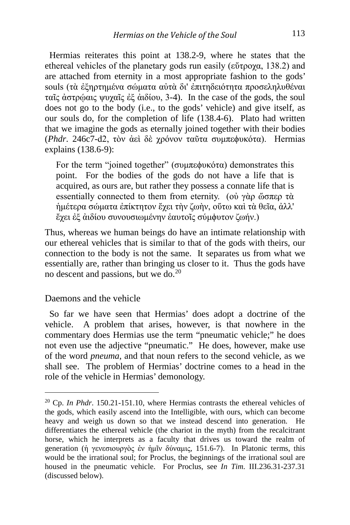Hermias reiterates this point at 138.2-9, where he states that the ethereal vehicles of the planetary gods run easily (εύτρογα, 138.2) and are attached from eternity in a most appropriate fashion to the gods' souls (τὰ ἐξηρτημένα σώματα αὐτὰ δι' ἐπιτηδειότητα προσεληλυθέναι ταῖς ἀστρῴαις ψυχαῖς ἐξ ἀιδίου, 3-4). In the case of the gods, the soul does not go to the body (i.e., to the gods' vehicle) and give itself, as our souls do, for the completion of life (138.4-6). Plato had written that we imagine the gods as eternally joined together with their bodies (*Phdr*. 246c7-d2, τὸν ἀεὶ δὲ χρόνον ταῦτα συμπεϕυκότα). Hermias explains (138.6-9):

For the term "joined together" (συμπεφυκότα) demonstrates this point. For the bodies of the gods do not have a life that is acquired, as ours are, but rather they possess a connate life that is essentially connected to them from eternity. (οὐ γὰρ ὥσπερ τὰ ἡμέτερα σώματα ἐπίκτητον ἔχει τὴν ζωὴν, οὕτω καὶ τὰ θεῖα, ἀλλ' ἔχει ἐξ ἀιδίου συνουσιωμένην ἑαυτοῖς σύμϕυτον ζωήν.)

Thus, whereas we human beings do have an intimate relationship with our ethereal vehicles that is similar to that of the gods with theirs, our connection to the body is not the same. It separates us from what we essentially are, rather than bringing us closer to it. Thus the gods have no descent and passions, but we do.[20](#page-5-0) 

Daemons and the vehicle

 So far we have seen that Hermias' does adopt a doctrine of the vehicle. A problem that arises, however, is that nowhere in the commentary does Hermias use the term "pneumatic vehicle;" he does not even use the adjective "pneumatic." He does, however, make use of the word *pneuma*, and that noun refers to the second vehicle, as we shall see. The problem of Hermias' doctrine comes to a head in the role of the vehicle in Hermias' demonology.

<span id="page-5-0"></span><sup>20</sup> Cp. *In Phdr*. 150.21-151.10, where Hermias contrasts the ethereal vehicles of the gods, which easily ascend into the Intelligible, with ours, which can become heavy and weigh us down so that we instead descend into generation. He differentiates the ethereal vehicle (the chariot in the myth) from the recalcitrant horse, which he interprets as a faculty that drives us toward the realm of generation (ἡ γενεσιουργὸς ἐν ἡμῖν δύναμις, 151.6-7). In Platonic terms, this would be the irrational soul; for Proclus, the beginnings of the irrational soul are housed in the pneumatic vehicle. For Proclus, see *In Tim*. III.236.31-237.31 (discussed below).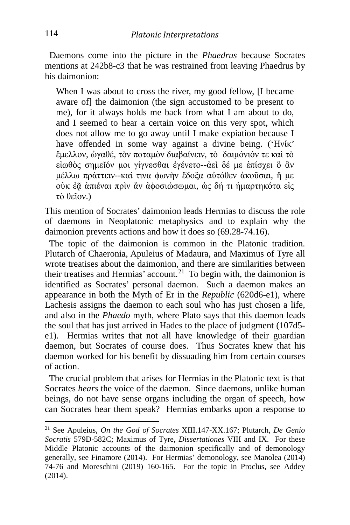Daemons come into the picture in the *Phaedrus* because Socrates mentions at 242b8-c3 that he was restrained from leaving Phaedrus by his daimonion:

When I was about to cross the river, my good fellow, II became aware of] the daimonion (the sign accustomed to be present to me), for it always holds me back from what I am about to do, and I seemed to hear a certain voice on this very spot, which does not allow me to go away until I make expiation because I have offended in some way against a divine being. ('Ηνίκ' ἔμελλον, ὠγαθέ, τὸν ποταμὸν διαβαίνειν, τὸ δαιμόνιόν τε καὶ τὸ εἰωθὸς σημεῖόν μοι γίγνεσθαι ἐγένετο--ἀεὶ δέ με ἐπίσχει ὃ ἂν μέλλω πράττειν--καί τινα ϕωνὴν ἔδοξα αὐτόθεν ἀκοῦσαι, ἥ με οὐκ ἐᾷ ἀπιέναι πρὶν ἂν ἀϕοσιώσωμαι, ὡς δή τι ἡμαρτηκότα εἰς τὸ θεῖον.)

This mention of Socrates' daimonion leads Hermias to discuss the role of daemons in Neoplatonic metaphysics and to explain why the daimonion prevents actions and how it does so (69.28-74.16).

 The topic of the daimonion is common in the Platonic tradition. Plutarch of Chaeronia, Apuleius of Madaura, and Maximus of Tyre all wrote treatises about the daimonion, and there are similarities between their treatises and Hermias' account.<sup>21</sup> To begin with, the daimonion is identified as Socrates' personal daemon. Such a daemon makes an appearance in both the Myth of Er in the *Republic* (620d6-e1), where Lachesis assigns the daemon to each soul who has just chosen a life, and also in the *Phaedo* myth, where Plato says that this daemon leads the soul that has just arrived in Hades to the place of judgment (107d5 e1). Hermias writes that not all have knowledge of their guardian daemon, but Socrates of course does. Thus Socrates knew that his daemon worked for his benefit by dissuading him from certain courses of action.

 The crucial problem that arises for Hermias in the Platonic text is that Socrates *hears* the voice of the daemon. Since daemons, unlike human beings, do not have sense organs including the organ of speech, how can Socrates hear them speak? Hermias embarks upon a response to

<span id="page-6-0"></span><sup>21</sup> See Apuleius, *On the God of Socrates* XIII.147-XX.167; Plutarch, *De Genio Socratis* 579D-582C; Maximus of Tyre, *Dissertationes* VIII and IX. For these Middle Platonic accounts of the daimonion specifically and of demonology generally, see Finamore (2014). For Hermias' demonology, see Manolea (2014) 74-76 and Moreschini (2019) 160-165. For the topic in Proclus, see Addey (2014).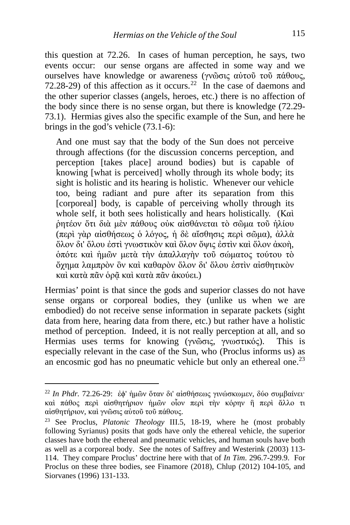this question at 72.26. In cases of human perception, he says, two events occur: our sense organs are affected in some way and we ourselves have knowledge or awareness (γνῶσις αὐτοῦ τοῦ πάθους, 72.28-29) of this affection as it occurs.<sup>22</sup> In the case of daemons and the other superior classes (angels, heroes, etc.) there is no affection of the body since there is no sense organ, but there is knowledge (72.29- 73.1). Hermias gives also the specific example of the Sun, and here he brings in the god's vehicle (73.1-6):

And one must say that the body of the Sun does not perceive through affections (for the discussion concerns perception, and perception [takes place] around bodies) but is capable of knowing [what is perceived] wholly through its whole body; its sight is holistic and its hearing is holistic. Whenever our vehicle too, being radiant and pure after its separation from this [corporeal] body, is capable of perceiving wholly through its whole self, it both sees holistically and hears holistically. (Καὶ ῥητέον ὅτι διὰ μὲν πάθους οὐκ αἰσθάνεται τὸ σῶμα τοῦ ἡλίου (περὶ γὰρ αἰσθήσεως ὁ λόγος, ἡ δὲ αἴσθησις περὶ σῶμα), ἀλλὰ ὅλον δι' ὅλου ἐστὶ γνωστικὸν καὶ ὅλον ὄψις ἐστὶν καὶ ὅλον ἀκοὴ, ὁπότε καὶ ἡμῶν μετὰ τὴν ἀπαλλαγὴν τοῦ σώματος τούτου τὸ ὄχημα λαμπρὸν ὂν καὶ καθαρὸν ὅλον δι' ὅλου ἐστὶν αἰσθητικὸν καὶ κατὰ πᾶν ὁρᾷ καὶ κατὰ πᾶν ἀκούει.)

Hermias' point is that since the gods and superior classes do not have sense organs or corporeal bodies, they (unlike us when we are embodied) do not receive sense information in separate packets (sight data from here, hearing data from there, etc.) but rather have a holistic method of perception. Indeed, it is not really perception at all, and so Hermias uses terms for knowing (γνῶσις, γνωστικός). This is especially relevant in the case of the Sun, who (Proclus informs us) as an encosmic god has no pneumatic vehicle but only an ethereal one.<sup>[23](#page-7-1)</sup>

<span id="page-7-0"></span><sup>22</sup> *In Phdr.* 72.26-29: ἐϕ' ἡμῶν ὅταν δι' αἰσθήσεως γινώσκωμεν, δύο συμβαίνει· καὶ πάθος περὶ αἰσθητήριον ἡμῶν οἷον περὶ τὴν κόρην ἢ περὶ ἄλλο τι αἰσθητήριον, καὶ γνῶσις αὐτοῦ τοῦ πάθους.

<span id="page-7-1"></span><sup>23</sup> See Proclus, *Platonic Theology* III.5, 18-19, where he (most probably following Syrianus) posits that gods have only the ethereal vehicle, the superior classes have both the ethereal and pneumatic vehicles, and human souls have both as well as a corporeal body. See the notes of Saffrey and Westerink (2003) 113- 114. They compare Proclus' doctrine here with that of *In Tim*. 296.7-299.9. For Proclus on these three bodies, see Finamore (2018), Chlup (2012) 104-105, and Siorvanes (1996) 131-133.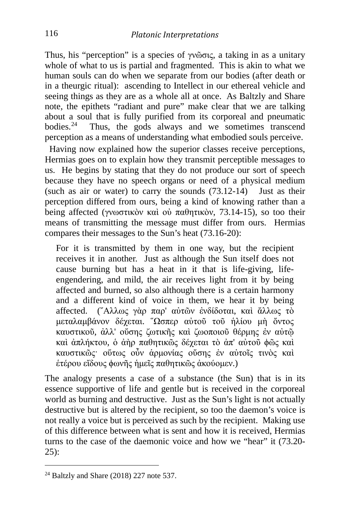Thus, his "perception" is a species of γνῶσις, a taking in as a unitary whole of what to us is partial and fragmented. This is akin to what we human souls can do when we separate from our bodies (after death or in a theurgic ritual): ascending to Intellect in our ethereal vehicle and seeing things as they are as a whole all at once. As Baltzly and Share note, the epithets "radiant and pure" make clear that we are talking about a soul that is fully purified from its corporeal and pneumatic bodies. $24$  Thus, the gods always and we sometimes transcend Thus, the gods always and we sometimes transcend perception as a means of understanding what embodied souls perceive.

 Having now explained how the superior classes receive perceptions, Hermias goes on to explain how they transmit perceptible messages to us. He begins by stating that they do not produce our sort of speech because they have no speech organs or need of a physical medium (such as air or water) to carry the sounds  $(73.12-14)$  Just as their perception differed from ours, being a kind of knowing rather than a being affected (γνωστικὸν καὶ οὐ παθητικὸν, 73.14-15), so too their means of transmitting the message must differ from ours. Hermias compares their messages to the Sun's heat (73.16-20):

For it is transmitted by them in one way, but the recipient receives it in another. Just as although the Sun itself does not cause burning but has a heat in it that is life-giving, lifeengendering, and mild, the air receives light from it by being affected and burned, so also although there is a certain harmony and a different kind of voice in them, we hear it by being affected. (῎Αλλως γὰρ παρ' αὐτῶν ἐνδίδοται, καὶ ἄλλως τὸ μεταλαμβάνον δέχεται. ῞Ωσπερ αὐτοῦ τοῦ ἡλίου μὴ ὄντος καυστικοῦ, ἀλλ' οὔσης ζωτικῆς καὶ ζωοποιοῦ θέρμης ἐν αὐτῷ καὶ ἀπλήκτου, ὁ ἀὴρ παθητικῶς δέχεται τὸ ἀπ' αὐτοῦ ϕῶς καὶ καυστικῶς· οὕτως οὖν ἁρμονίας οὔσης ἐν αὐτοῖς τινὸς καὶ ἑτέρου εἴδους ϕωνῆς ἡμεῖς παθητικῶς ἀκούομεν.)

The analogy presents a case of a substance (the Sun) that is in its essence supportive of life and gentle but is received in the corporeal world as burning and destructive. Just as the Sun's light is not actually destructive but is altered by the recipient, so too the daemon's voice is not really a voice but is perceived as such by the recipient. Making use of this difference between what is sent and how it is received, Hermias turns to the case of the daemonic voice and how we "hear" it (73.20- 25):

<span id="page-8-0"></span> $24$  Baltzly and Share (2018) 227 note 537.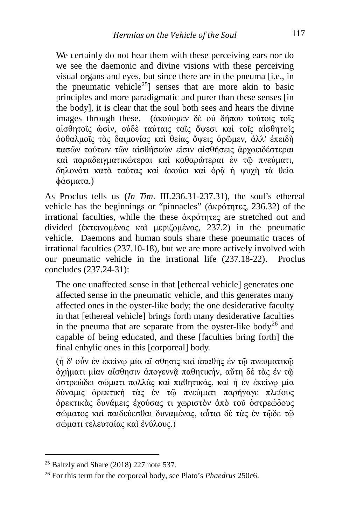We certainly do not hear them with these perceiving ears nor do we see the daemonic and divine visions with these perceiving visual organs and eyes, but since there are in the pneuma [i.e., in the pneumatic vehicle<sup>25</sup>] senses that are more akin to basic principles and more paradigmatic and purer than these senses [in the body], it is clear that the soul both sees and hears the divine images through these. (ἀκούομεν δὲ οὐ δήπου τούτοις τοῖς αἰσθητοῖς ὠσὶν, οὐδὲ ταύταις ταῖς ὄψεσι καὶ τοῖς αἰσθητοῖς ὀϕθαλμοῖς τὰς δαιμονίας καὶ θείας ὄψεις ὁρῶμεν, ἀλλ' ἐπειδὴ πασῶν τούτων τῶν αἰσθήσεών εἰσιν αἰσθήσεις ἀρχοειδέστεραι καὶ παραδειγματικώτεραι καὶ καθαρώτεραι ἐν τῷ πνεύματι, δηλονότι κατὰ ταύτας καὶ ἀκούει καὶ ὁρᾶ ἡ ψυχὴ τὰ θεῖα ϕάσματα.)

As Proclus tells us (*In Tim*. III.236.31-237.31), the soul's ethereal vehicle has the beginnings or "pinnacles" (ἀκρότητες, 236.32) of the irrational faculties, while the these ἀκρότητες are stretched out and divided (ἐκτεινομένας καὶ μεριζομένας, 237.2) in the pneumatic vehicle. Daemons and human souls share these pneumatic traces of irrational faculties (237.10-18), but we are more actively involved with our pneumatic vehicle in the irrational life (237.18-22). Proclus concludes (237.24-31):

The one unaffected sense in that [ethereal vehicle] generates one affected sense in the pneumatic vehicle, and this generates many affected ones in the oyster-like body; the one desiderative faculty in that [ethereal vehicle] brings forth many desiderative faculties in the pneuma that are separate from the oyster-like body<sup>[26](#page-9-1)</sup> and capable of being educated, and these [faculties bring forth] the final enhylic ones in this [corporeal] body.

(ἡ δ' οὖν ἐν ἐκείνῳ μία αἴ σθησις καὶ ἀπαθὴς ἐν τῷ πνευματικῷ ὀχήματι μίαν αἴσθησιν ἀπογεννᾷ παθητικήν, αὕτη δὲ τὰς ἐν τῷ ὀστρεώδει σώματι πολλὰς καὶ παθητικάς, καὶ ἡ ἐν ἐκείνῳ μία δύναμις ὀρεκτικὴ τὰς ἐν τῷ πνεύματι παρήγαγε πλείους ὀρεκτικὰς δυνάμεις ἐχούσας τι χωριστὸν ἀπὸ τοῦ ὀστρεώδους σώματος καὶ παιδεύεσθαι δυναμένας, αὗται δὲ τὰς ἐν τῷδε τῷ σώματι τελευταίας καὶ ἐνύλους.)

<span id="page-9-0"></span><sup>25</sup> Baltzly and Share (2018) 227 note 537.

<span id="page-9-1"></span><sup>26</sup> For this term for the corporeal body, see Plato's *Phaedrus* 250c6.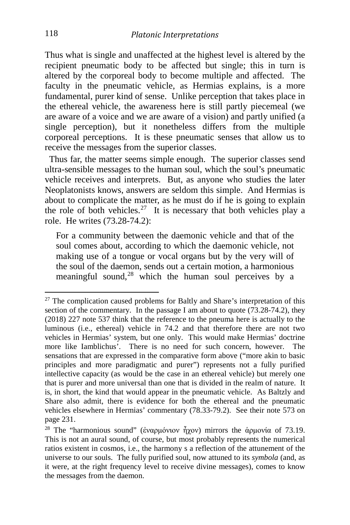Thus what is single and unaffected at the highest level is altered by the recipient pneumatic body to be affected but single; this in turn is altered by the corporeal body to become multiple and affected. The faculty in the pneumatic vehicle, as Hermias explains, is a more fundamental, purer kind of sense. Unlike perception that takes place in the ethereal vehicle, the awareness here is still partly piecemeal (we are aware of a voice and we are aware of a vision) and partly unified (a single perception), but it nonetheless differs from the multiple corporeal perceptions. It is these pneumatic senses that allow us to receive the messages from the superior classes.

 Thus far, the matter seems simple enough. The superior classes send ultra-sensible messages to the human soul, which the soul's pneumatic vehicle receives and interprets. But, as anyone who studies the later Neoplatonists knows, answers are seldom this simple. And Hermias is about to complicate the matter, as he must do if he is going to explain the role of both vehicles.<sup>[27](#page-10-0)</sup> It is necessary that both vehicles play a role. He writes (73.28-74.2):

For a community between the daemonic vehicle and that of the soul comes about, according to which the daemonic vehicle, not making use of a tongue or vocal organs but by the very will of the soul of the daemon, sends out a certain motion, a harmonious meaningful sound, $28$  which the human soul perceives by a

<span id="page-10-0"></span> $27$  The complication caused problems for Baltly and Share's interpretation of this section of the commentary. In the passage I am about to quote (73.28-74.2), they (2018) 227 note 537 think that the reference to the pneuma here is actually to the luminous (i.e., ethereal) vehicle in 74.2 and that therefore there are not two vehicles in Hermias' system, but one only. This would make Hermias' doctrine more like Iamblichus'. There is no need for such concern, however. The sensations that are expressed in the comparative form above ("more akin to basic principles and more paradigmatic and purer") represents not a fully purified intellective capacity (as would be the case in an ethereal vehicle) but merely one that is purer and more universal than one that is divided in the realm of nature. It is, in short, the kind that would appear in the pneumatic vehicle. As Baltzly and Share also admit, there is evidence for both the ethereal and the pneumatic vehicles elsewhere in Hermias' commentary (78.33-79.2). See their note 573 on page 231.

<span id="page-10-1"></span><sup>&</sup>lt;sup>28</sup> The "harmonious sound" (ἐναρμόνιον ἦχον) mirrors the ἀρμονία of 73.19. This is not an aural sound, of course, but most probably represents the numerical ratios existent in cosmos, i.e., the harmony s a reflection of the attunement of the universe to our souls. The fully purified soul, now attuned to its *symbola* (and, as it were, at the right frequency level to receive divine messages), comes to know the messages from the daemon.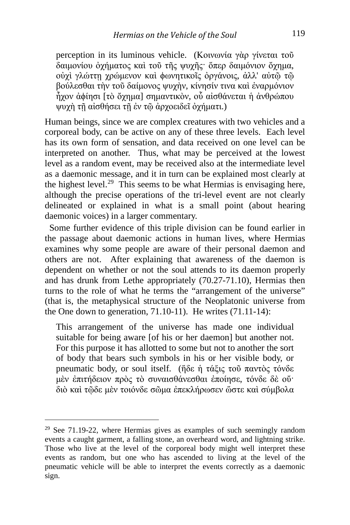perception in its luminous vehicle. (Κοινωνία γὰρ γίνεται τοῦ δαιμονίου ὀχήματος καὶ τοῦ τῆς ψυχῆς· ὅπερ δαιμόνιον ὄχημα, οὐχὶ γλώττῃ χρώμενον καὶ ϕωνητικοῖς ὀργάνοις, ἀλλ' αὐτῷ τῷ βούλεσθαι τὴν τοῦ δαίμονος ψυχὴν, κίνησίν τινα καὶ ἐναρμόνιον ἦχον ἀϕίησι [τὸ ὄχημα] σημαντικὸν, οὗ αἰσθάνεται ἡ ἀνθρώπου ψυχὴ τῇ αἰσθήσει τῇ ἐν τῷ ἀρχοειδεῖ ὀχήματι.)

Human beings, since we are complex creatures with two vehicles and a corporeal body, can be active on any of these three levels. Each level has its own form of sensation, and data received on one level can be interpreted on another. Thus, what may be perceived at the lowest level as a random event, may be received also at the intermediate level as a daemonic message, and it in turn can be explained most clearly at the highest level.<sup>29</sup> This seems to be what Hermias is envisaging here, although the precise operations of the tri-level event are not clearly delineated or explained in what is a small point (about hearing daemonic voices) in a larger commentary.

 Some further evidence of this triple division can be found earlier in the passage about daemonic actions in human lives, where Hermias examines why some people are aware of their personal daemon and others are not. After explaining that awareness of the daemon is dependent on whether or not the soul attends to its daemon properly and has drunk from Lethe appropriately (70.27-71.10), Hermias then turns to the role of what he terms the "arrangement of the universe" (that is, the metaphysical structure of the Neoplatonic universe from the One down to generation, 71.10-11). He writes (71.11-14):

This arrangement of the universe has made one individual suitable for being aware [of his or her daemon] but another not. For this purpose it has allotted to some but not to another the sort of body that bears such symbols in his or her visible body, or pneumatic body, or soul itself. (ἥδε ἡ τάξις τοῦ παντὸς τόνδε μὲν ἐπιτήδειον πρὸς τὸ συναισθάνεσθαι ἐποίησε, τόνδε δὲ οὔ· διὸ καὶ τῷδε μὲν τοιόνδε σῶμα ἐπεκλήρωσεν ὥστε καὶ σύμβολα

<span id="page-11-0"></span><sup>&</sup>lt;sup>29</sup> See 71.19-22, where Hermias gives as examples of such seemingly random events a caught garment, a falling stone, an overheard word, and lightning strike. Those who live at the level of the corporeal body might well interpret these events as random, but one who has ascended to living at the level of the pneumatic vehicle will be able to interpret the events correctly as a daemonic sign.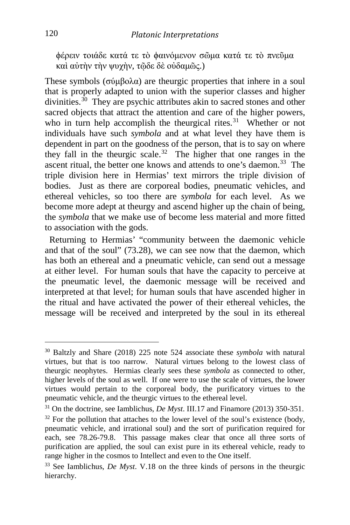ϕέρειν τοιάδε κατά τε τὸ ϕαινόμενον σῶμα κατά τε τὸ πνεῦμα καὶ αὐτὴν τὴν ψυχὴν, τῷδε δὲ οὐδαμῶς.)

These symbols (σύμβολα) are theurgic properties that inhere in a soul that is properly adapted to union with the superior classes and higher divinities.<sup>30</sup> They are psychic attributes akin to sacred stones and other sacred objects that attract the attention and care of the higher powers, who in turn help accomplish the theurgical rites.<sup>31</sup> Whether or not individuals have such *symbola* and at what level they have them is dependent in part on the goodness of the person, that is to say on where they fall in the theurgic scale.[32](#page-12-2) The higher that one ranges in the ascent ritual, the better one knows and attends to one's daemon.<sup>33</sup> The triple division here in Hermias' text mirrors the triple division of bodies. Just as there are corporeal bodies, pneumatic vehicles, and ethereal vehicles, so too there are *symbola* for each level. As we become more adept at theurgy and ascend higher up the chain of being, the *symbola* that we make use of become less material and more fitted to association with the gods.

 Returning to Hermias' "community between the daemonic vehicle and that of the soul" (73.28), we can see now that the daemon, which has both an ethereal and a pneumatic vehicle, can send out a message at either level. For human souls that have the capacity to perceive at the pneumatic level, the daemonic message will be received and interpreted at that level; for human souls that have ascended higher in the ritual and have activated the power of their ethereal vehicles, the message will be received and interpreted by the soul in its ethereal

<span id="page-12-0"></span>i, <sup>30</sup> Baltzly and Share (2018) 225 note 524 associate these *symbola* with natural virtues, but that is too narrow. Natural virtues belong to the lowest class of theurgic neophytes. Hermias clearly sees these *symbola* as connected to other, higher levels of the soul as well. If one were to use the scale of virtues, the lower virtues would pertain to the corporeal body, the purificatory virtues to the pneumatic vehicle, and the theurgic virtues to the ethereal level.

<span id="page-12-1"></span><sup>31</sup> On the doctrine, see Iamblichus, *De Myst*. III.17 and Finamore (2013) 350-351.

<span id="page-12-2"></span> $32$  For the pollution that attaches to the lower level of the soul's existence (body, pneumatic vehicle, and irrational soul) and the sort of purification required for each, see 78.26-79.8. This passage makes clear that once all three sorts of purification are applied, the soul can exist pure in its ethereal vehicle, ready to range higher in the cosmos to Intellect and even to the One itself.

<span id="page-12-3"></span><sup>33</sup> See Iamblichus, *De Myst*. V.18 on the three kinds of persons in the theurgic hierarchy.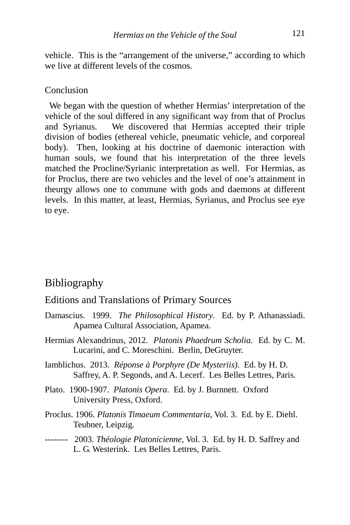vehicle. This is the "arrangement of the universe," according to which we live at different levels of the cosmos.

#### Conclusion

 We began with the question of whether Hermias' interpretation of the vehicle of the soul differed in any significant way from that of Proclus and Syrianus. We discovered that Hermias accepted their triple division of bodies (ethereal vehicle, pneumatic vehicle, and corporeal body). Then, looking at his doctrine of daemonic interaction with human souls, we found that his interpretation of the three levels matched the Procline/Syrianic interpretation as well. For Hermias, as for Proclus, there are two vehicles and the level of one's attainment in theurgy allows one to commune with gods and daemons at different levels. In this matter, at least, Hermias, Syrianus, and Proclus see eye to eye.

### Bibliography

### Editions and Translations of Primary Sources

- Damascius. 1999. *The Philosophical History*. Ed. by P. Athanassiadi. Apamea Cultural Association, Apamea.
- Hermias Alexandrinus, 2012. *Platonis Phaedrum Scholia*. Ed. by C. M. Lucarini, and C. Moreschini. Berlin, DeGruyter.
- Iamblichus. 2013. *Réponse à Porphyre (De Mysteriis)*. Ed. by H. D. Saffrey, A. P. Segonds, and A. Lecerf. Les Belles Lettres, Paris.
- Plato. 1900-1907. *Platonis Opera*. Ed. by J. Burnnett. Oxford University Press, Oxford.
- Proclus. 1906. *Platonis Timaeum Commentaria*, Vol. 3. Ed. by E. Diehl. Teubner, Leipzig.
- -------- 2003. *Théologie Platonicienne*, Vol. 3. Ed. by H. D. Saffrey and L. G. Westerink. Les Belles Lettres, Paris.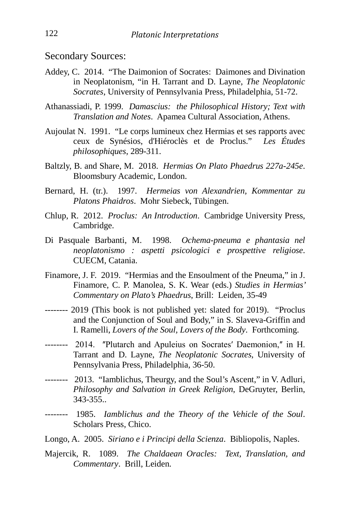Secondary Sources:

- Addey, C. 2014. "The Daimonion of Socrates: Daimones and Divination in Neoplatonism, "in H. Tarrant and D. Layne, *The Neoplatonic Socrates*, University of Pennsylvania Press, Philadelphia, 51-72.
- Athanassiadi, P. 1999. *Damascius: the Philosophical History; Text with Translation and Notes*. Apamea Cultural Association, Athens.
- Aujoulat N. 1991. "Le corps lumineux chez Hermias et ses rapports avec ceux de Synésios, d'Hiéroclès et de Proclus." *Les Études philosophiques*, 289-311.
- Baltzly, B. and Share, M. 2018. *Hermias On Plato Phaedrus 227a-245e*. Bloomsbury Academic, London.
- Bernard, H. (tr.). 1997. *Hermeias von Alexandrien, Kommentar zu Platons Phaidros*. Mohr Siebeck, Tübingen.
- Chlup, R. 2012. *Proclus: An Introduction*. Cambridge University Press, Cambridge.
- Di Pasquale Barbanti, M. 1998. *Ochema-pneuma e phantasia nel neoplatonismo : aspetti psicologici e prospettive religiose*. CUECM, Catania.
- Finamore, J. F. 2019. "Hermias and the Ensoulment of the Pneuma," in J. Finamore, C. P. Manolea, S. K. Wear (eds.) *Studies in Hermias' Commentary on Plato's Phaedrus*, Brill: Leiden, 35-49
- -------- 2019 (This book is not published yet: slated for 2019). "Proclus and the Conjunction of Soul and Body," in S. Slaveva-Griffin and I. Ramelli, *Lovers of the Soul, Lovers of the Body*. Forthcoming.
- -------- 2014. "Plutarch and Apuleius on Socrates' Daemonion," in H. Tarrant and D. Layne, *The Neoplatonic Socrates*, University of Pennsylvania Press, Philadelphia, 36-50.
- -------- 2013. "Iamblichus, Theurgy, and the Soul's Ascent," in V. Adluri, *Philosophy and Salvation in Greek Religion*, DeGruyter, Berlin, 343-355..
- -------- 1985. *Iamblichus and the Theory of the Vehicle of the Soul*. Scholars Press, Chico.
- Longo, A. 2005. *Siriano e i Principi della Scienza*. Bibliopolis, Naples.
- Majercik, R. 1089. *The Chaldaean Oracles: Text, Translation, and Commentary*. Brill, Leiden.